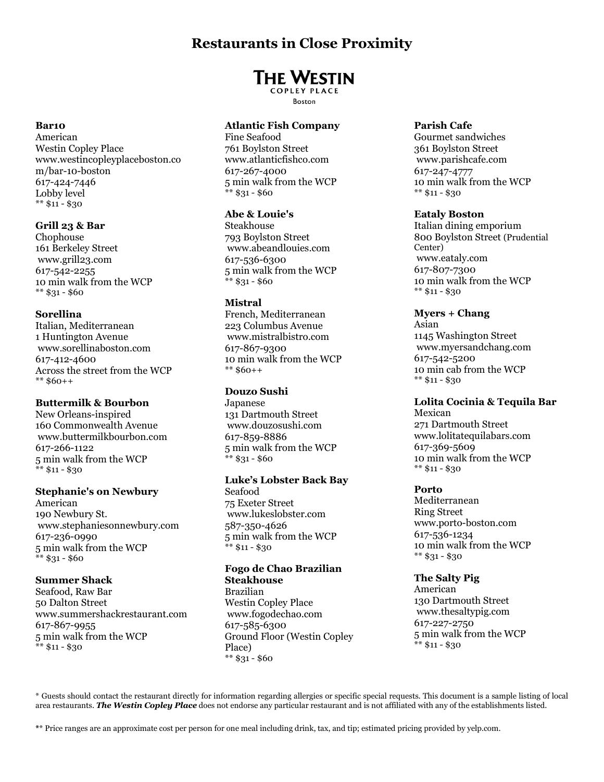# **Restaurants in Close Proximity**

# **THE WESTIN**

**COPLEY PLACE Boston** 

# **Atlantic Fish Company**

Fine Seafood 761 Boylston Street www.atlanticfishco.com 617-267-4000 5 min walk from the WCP  $**$  \$31 - \$60

### **Abe & Louie's**

Steakhouse 793 Boylston Street www.abeandlouies.com 617-536-6300 5 min walk from the WCP \*\* \$31 - \$60

### **Mistral**

French, Mediterranean 223 Columbus Avenue www.mistralbistro.com 617-867-9300 10 min walk from the WCP \*\* \$60++

# **Douzo Sushi**

Japanese 131 Dartmouth Street www.douzosushi.com 617-859-8886 5 min walk from the WCP  $**$  \$31 - \$60

### **Luke's Lobster Back Bay**

Seafood 75 Exeter Street www.lukeslobster.com 587-350-4626 5 min walk from the WCP \*\* \$11 - \$30

#### **Fogo de Chao Brazilian Steakhouse** Brazilian

Westin Copley Place www.fogodechao.com 617-585-6300 Ground Floor (Westin Copley Place)  $**$  \$31 - \$60

### **Parish Cafe**

Gourmet sandwiches 361 Boylston Street www.parishcafe.com 617-247-4777 10 min walk from the WCP  $**$  \$11 - \$30

### **Eataly Boston**

Italian dining emporium 800 Boylston Street (Prudential Center) www.eataly.com 617-807-7300 10 min walk from the WCP \*\* \$11 - \$30

### **Myers + Chang**

Asian 1145 Washington Street www.myersandchang.com 617-542-5200 10 min cab from the WCP  $**$  \$11 - \$30

# **Lolita Cocinia & Tequila Bar**

Mexican 271 Dartmouth Street www.lolitatequilabars.com 617-369-5609 10 min walk from the WCP \*\* \$11 - \$30

### **Porto**

Mediterranean Ring Street www.porto-boston.com 617-536-1234 10 min walk from the WCP  $**$  \$31 - \$30

**The Salty Pig** American 130 Dartmouth Street www.thesaltypig.com 617-227-2750 5 min walk from the WCP \*\* \$11 - \$30

\* Guests should contact the restaurant directly for information regarding allergies or specific special requests. This document is a sample listing of local area restaurants. *The Westin Copley Place* does not endorse any particular restaurant and is not affiliated with any of the establishments listed.

**\***\* Price ranges are an approximate cost per person for one meal including drink, tax, and tip; estimated pricing provided by yelp.com.

# **Bar10**

American Westin Copley Place www.westincopleyplaceboston.co m/bar-10-boston 617-424-7446 Lobby level  $**$  \$11 - \$30

### **Grill 23 & Bar**

Chophouse 161 Berkeley Street www.grill23.com 617-542-2255 10 min walk from the WCP \*\* \$31 - \$60

### **Sorellina**

Italian, Mediterranean 1 Huntington Avenue www.sorellinaboston.com 617-412-4600 Across the street from the WCP \*\* \$60++

### **Buttermilk & Bourbon**

New Orleans-inspired 160 Commonwealth Avenue www.buttermilkbourbon.com 617-266-1122 5 min walk from the WCP  $*$  \$11 - \$30

### **Stephanie's on Newbury**

American 190 Newbury St. www.stephaniesonnewbury.com 617-236-0990 5 min walk from the WCP \*\* \$31 - \$60

### **Summer Shack**

Seafood, Raw Bar 50 Dalton Street www.summershackrestaurant.com 617-867-9955 5 min walk from the WCP \*\* \$11 - \$30